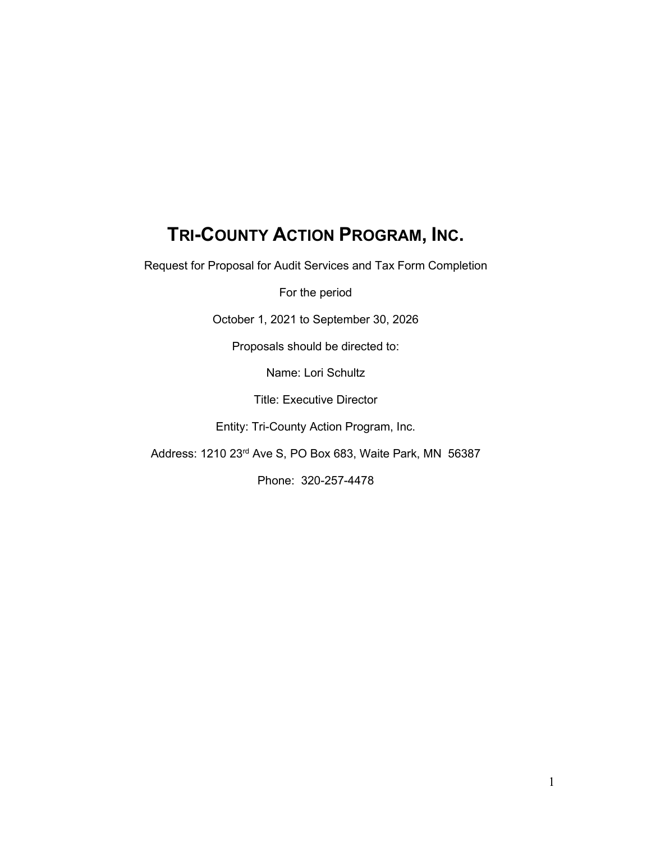# **TRI-COUNTY ACTION PROGRAM, INC.**

Request for Proposal for Audit Services and Tax Form Completion

For the period

October 1, 2021 to September 30, 2026

Proposals should be directed to:

Name: Lori Schultz

Title: Executive Director

Entity: Tri-County Action Program, Inc.

Address: 1210 23rd Ave S, PO Box 683, Waite Park, MN 56387

Phone: 320-257-4478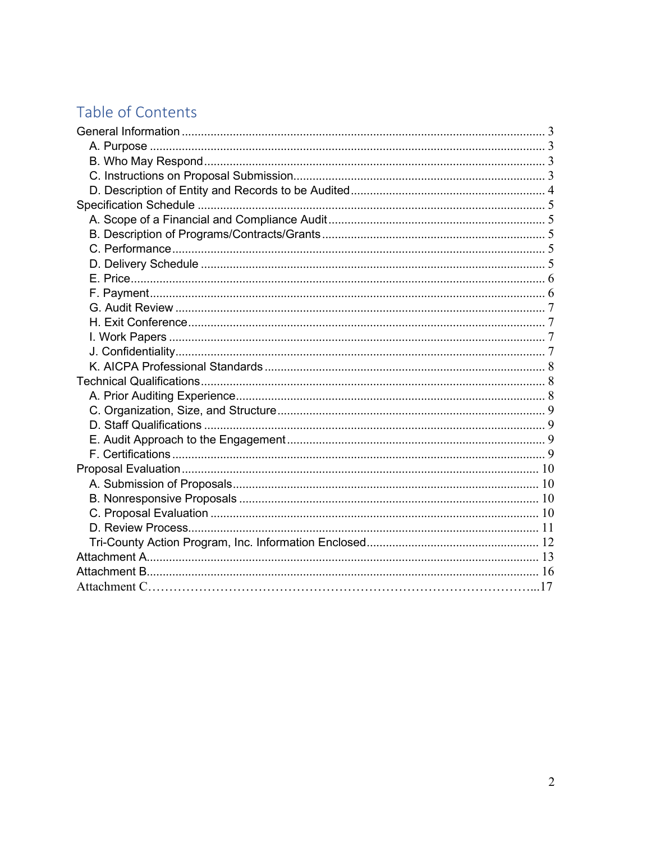# Table of Contents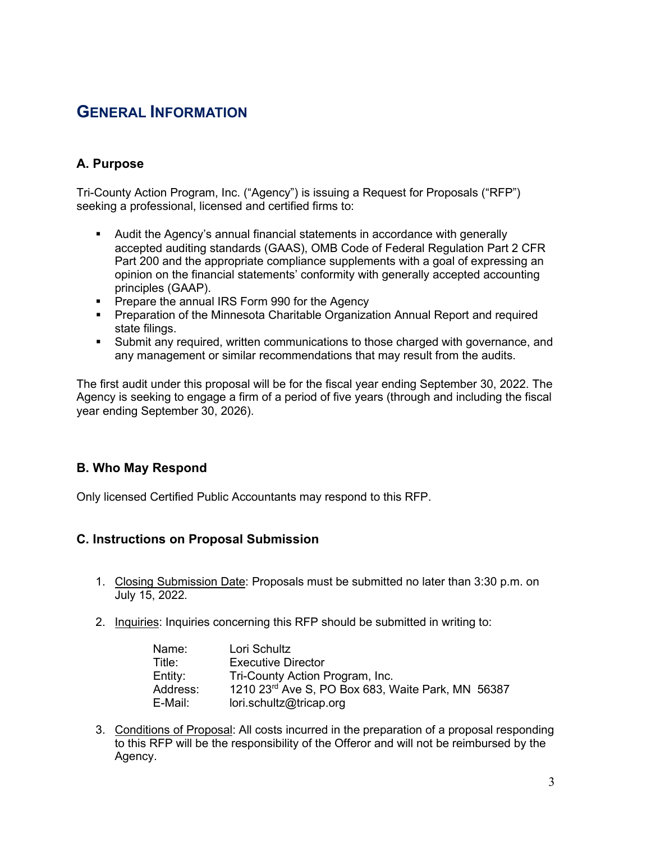# <span id="page-2-0"></span>**GENERAL INFORMATION**

# <span id="page-2-1"></span>**A. Purpose**

Tri-County Action Program, Inc. ("Agency") is issuing a Request for Proposals ("RFP") seeking a professional, licensed and certified firms to:

- Audit the Agency's annual financial statements in accordance with generally accepted auditing standards (GAAS), OMB Code of Federal Regulation Part 2 CFR Part 200 and the appropriate compliance supplements with a goal of expressing an opinion on the financial statements' conformity with generally accepted accounting principles (GAAP).
- **Prepare the annual IRS Form 990 for the Agency**
- Preparation of the Minnesota Charitable Organization Annual Report and required state filings.
- Submit any required, written communications to those charged with governance, and any management or similar recommendations that may result from the audits.

The first audit under this proposal will be for the fiscal year ending September 30, 2022. The Agency is seeking to engage a firm of a period of five years (through and including the fiscal year ending September 30, 2026).

# <span id="page-2-2"></span>**B. Who May Respond**

Only licensed Certified Public Accountants may respond to this RFP.

# <span id="page-2-3"></span>**C. Instructions on Proposal Submission**

- 1. Closing Submission Date: Proposals must be submitted no later than 3:30 p.m. on July 15, 2022*.*
- 2. Inquiries: Inquiries concerning this RFP should be submitted in writing to:

| Name:    | Lori Schultz                                      |
|----------|---------------------------------------------------|
| Title:   | <b>Executive Director</b>                         |
| Entity:  | Tri-County Action Program, Inc.                   |
| Address: | 1210 23rd Ave S, PO Box 683, Waite Park, MN 56387 |
| E-Mail:  | lori.schultz@tricap.org                           |

3. Conditions of Proposal: All costs incurred in the preparation of a proposal responding to this RFP will be the responsibility of the Offeror and will not be reimbursed by the Agency.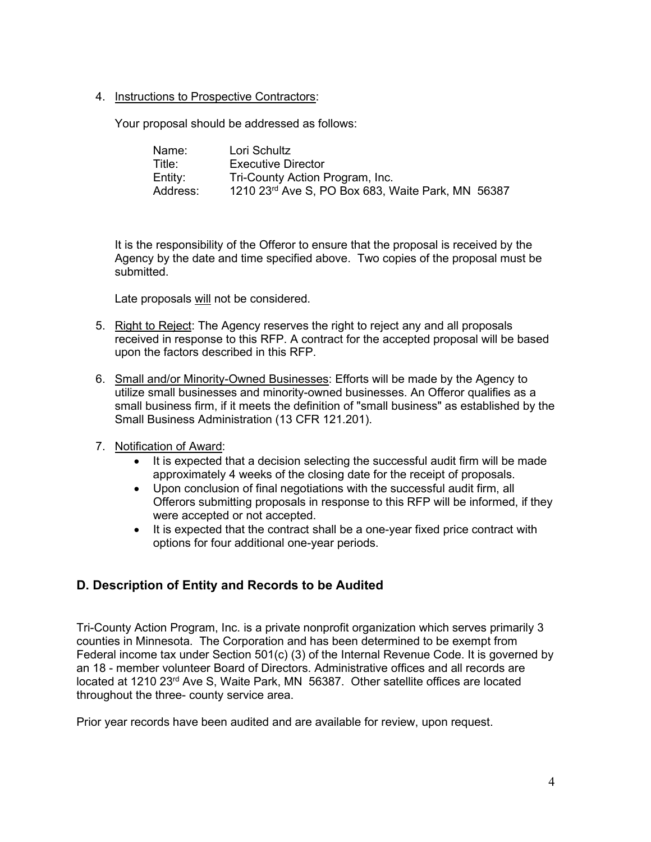4. Instructions to Prospective Contractors:

Your proposal should be addressed as follows:

| Name:    | Lori Schultz                                      |
|----------|---------------------------------------------------|
| Title:   | Executive Director                                |
| Entity:  | Tri-County Action Program, Inc.                   |
| Address: | 1210 23rd Ave S, PO Box 683, Waite Park, MN 56387 |

It is the responsibility of the Offeror to ensure that the proposal is received by the Agency by the date and time specified above. Two copies of the proposal must be submitted.

Late proposals will not be considered.

- 5. Right to Reject: The Agency reserves the right to reject any and all proposals received in response to this RFP. A contract for the accepted proposal will be based upon the factors described in this RFP.
- 6. Small and/or Minority-Owned Businesses: Efforts will be made by the Agency to utilize small businesses and minority-owned businesses. An Offeror qualifies as a small business firm, if it meets the definition of "small business" as established by the Small Business Administration (13 CFR 121.201).
- 7. Notification of Award:
	- It is expected that a decision selecting the successful audit firm will be made approximately 4 weeks of the closing date for the receipt of proposals.
	- Upon conclusion of final negotiations with the successful audit firm, all Offerors submitting proposals in response to this RFP will be informed, if they were accepted or not accepted.
	- It is expected that the contract shall be a one-year fixed price contract with options for four additional one-year periods.

#### <span id="page-3-0"></span>**D. Description of Entity and Records to be Audited**

Tri-County Action Program, Inc. is a private nonprofit organization which serves primarily 3 counties in Minnesota. The Corporation and has been determined to be exempt from Federal income tax under Section 501(c) (3) of the Internal Revenue Code. It is governed by an 18 - member volunteer Board of Directors. Administrative offices and all records are located at 1210 23<sup>rd</sup> Ave S, Waite Park, MN 56387. Other satellite offices are located throughout the three- county service area.

Prior year records have been audited and are available for review, upon request.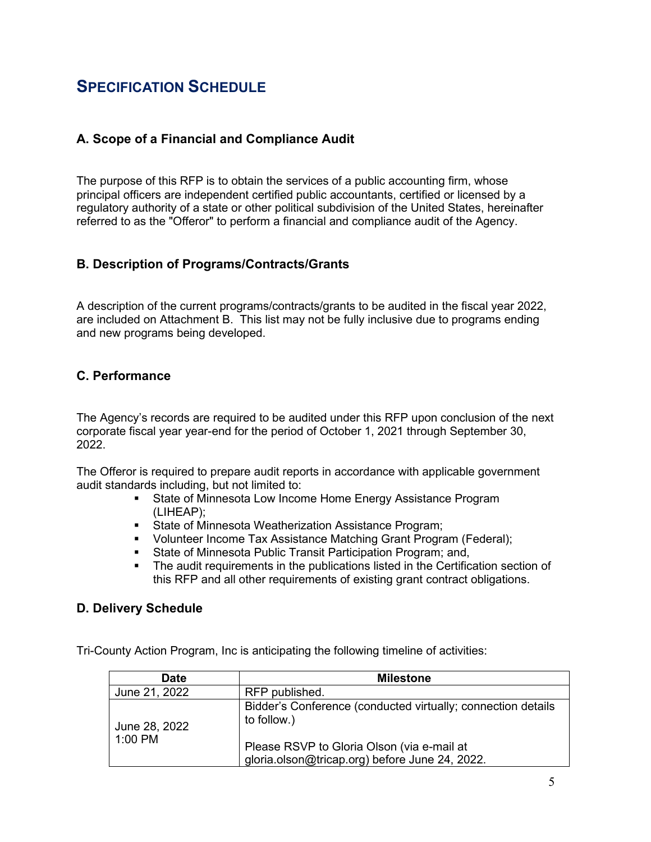# <span id="page-4-0"></span>**SPECIFICATION SCHEDULE**

# <span id="page-4-1"></span>**A. Scope of a Financial and Compliance Audit**

The purpose of this RFP is to obtain the services of a public accounting firm, whose principal officers are independent certified public accountants, certified or licensed by a regulatory authority of a state or other political subdivision of the United States, hereinafter referred to as the "Offeror" to perform a financial and compliance audit of the Agency.

#### <span id="page-4-2"></span>**B. Description of Programs/Contracts/Grants**

A description of the current programs/contracts/grants to be audited in the fiscal year 2022, are included on Attachment B. This list may not be fully inclusive due to programs ending and new programs being developed.

# <span id="page-4-3"></span>**C. Performance**

The Agency's records are required to be audited under this RFP upon conclusion of the next corporate fiscal year year-end for the period of October 1, 2021 through September 30, 2022.

The Offeror is required to prepare audit reports in accordance with applicable government audit standards including, but not limited to:

- **State of Minnesota Low Income Home Energy Assistance Program** (LIHEAP);
- **State of Minnesota Weatherization Assistance Program;**
- **Volunteer Income Tax Assistance Matching Grant Program (Federal);**
- **State of Minnesota Public Transit Participation Program; and,**
- The audit requirements in the publications listed in the Certification section of this RFP and all other requirements of existing grant contract obligations.

#### <span id="page-4-4"></span>**D. Delivery Schedule**

Tri-County Action Program, Inc is anticipating the following timeline of activities:

| <b>Date</b>                | <b>Milestone</b>                                                                                                                                                            |
|----------------------------|-----------------------------------------------------------------------------------------------------------------------------------------------------------------------------|
| June 21, 2022              | RFP published.                                                                                                                                                              |
| June 28, 2022<br>$1:00$ PM | Bidder's Conference (conducted virtually; connection details<br>to follow.)<br>Please RSVP to Gloria Olson (via e-mail at<br>gloria.olson@tricap.org) before June 24, 2022. |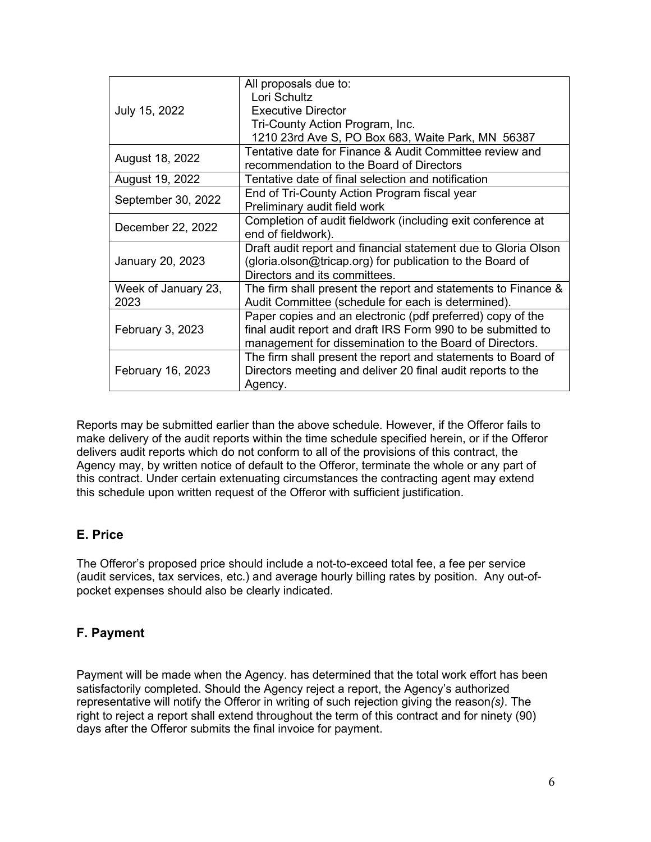|                         | All proposals due to:                                          |
|-------------------------|----------------------------------------------------------------|
|                         | Lori Schultz                                                   |
| July 15, 2022           | <b>Executive Director</b>                                      |
|                         | Tri-County Action Program, Inc.                                |
|                         | 1210 23rd Ave S, PO Box 683, Waite Park, MN 56387              |
| August 18, 2022         | Tentative date for Finance & Audit Committee review and        |
|                         | recommendation to the Board of Directors                       |
| August 19, 2022         | Tentative date of final selection and notification             |
|                         | End of Tri-County Action Program fiscal year                   |
| September 30, 2022      | Preliminary audit field work                                   |
|                         | Completion of audit fieldwork (including exit conference at    |
| December 22, 2022       | end of fieldwork).                                             |
|                         | Draft audit report and financial statement due to Gloria Olson |
| January 20, 2023        | (gloria.olson@tricap.org) for publication to the Board of      |
|                         | Directors and its committees.                                  |
| Week of January 23,     | The firm shall present the report and statements to Finance &  |
| 2023                    | Audit Committee (schedule for each is determined).             |
| <b>February 3, 2023</b> | Paper copies and an electronic (pdf preferred) copy of the     |
|                         | final audit report and draft IRS Form 990 to be submitted to   |
|                         | management for dissemination to the Board of Directors.        |
|                         | The firm shall present the report and statements to Board of   |
| February 16, 2023       | Directors meeting and deliver 20 final audit reports to the    |
|                         | Agency.                                                        |
|                         |                                                                |

Reports may be submitted earlier than the above schedule. However, if the Offeror fails to make delivery of the audit reports within the time schedule specified herein, or if the Offeror delivers audit reports which do not conform to all of the provisions of this contract, the Agency may, by written notice of default to the Offeror, terminate the whole or any part of this contract. Under certain extenuating circumstances the contracting agent may extend this schedule upon written request of the Offeror with sufficient justification.

# <span id="page-5-0"></span>**E. Price**

The Offeror's proposed price should include a not-to-exceed total fee, a fee per service (audit services, tax services, etc.) and average hourly billing rates by position. Any out-ofpocket expenses should also be clearly indicated.

# <span id="page-5-1"></span>**F. Payment**

Payment will be made when the Agency. has determined that the total work effort has been satisfactorily completed. Should the Agency reject a report, the Agency's authorized representative will notify the Offeror in writing of such rejection giving the reason*(s)*. The right to reject a report shall extend throughout the term of this contract and for ninety (90) days after the Offeror submits the final invoice for payment.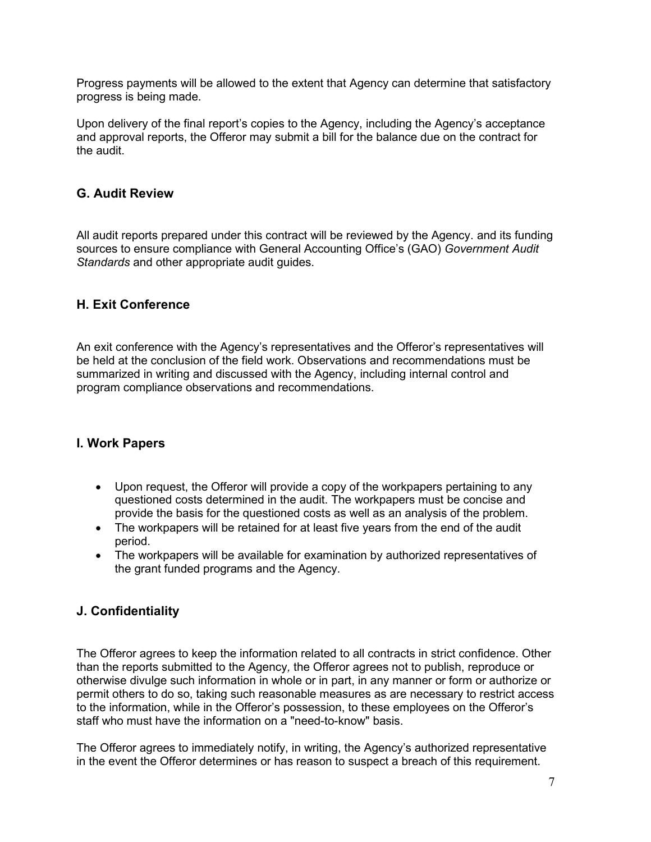Progress payments will be allowed to the extent that Agency can determine that satisfactory progress is being made.

Upon delivery of the final report's copies to the Agency, including the Agency's acceptance and approval reports, the Offeror may submit a bill for the balance due on the contract for the audit.

### <span id="page-6-0"></span>**G. Audit Review**

All audit reports prepared under this contract will be reviewed by the Agency. and its funding sources to ensure compliance with General Accounting Office's (GAO) *Government Audit Standards* and other appropriate audit guides.

#### <span id="page-6-1"></span>**H. Exit Conference**

An exit conference with the Agency's representatives and the Offeror's representatives will be held at the conclusion of the field work. Observations and recommendations must be summarized in writing and discussed with the Agency, including internal control and program compliance observations and recommendations.

#### <span id="page-6-2"></span>**I. Work Papers**

- Upon request, the Offeror will provide a copy of the workpapers pertaining to any questioned costs determined in the audit. The workpapers must be concise and provide the basis for the questioned costs as well as an analysis of the problem.
- The workpapers will be retained for at least five years from the end of the audit period.
- The workpapers will be available for examination by authorized representatives of the grant funded programs and the Agency.

# <span id="page-6-3"></span>**J. Confidentiality**

The Offeror agrees to keep the information related to all contracts in strict confidence. Other than the reports submitted to the Agency*,* the Offeror agrees not to publish, reproduce or otherwise divulge such information in whole or in part, in any manner or form or authorize or permit others to do so, taking such reasonable measures as are necessary to restrict access to the information, while in the Offeror's possession, to these employees on the Offeror's staff who must have the information on a "need-to-know" basis.

The Offeror agrees to immediately notify, in writing, the Agency's authorized representative in the event the Offeror determines or has reason to suspect a breach of this requirement.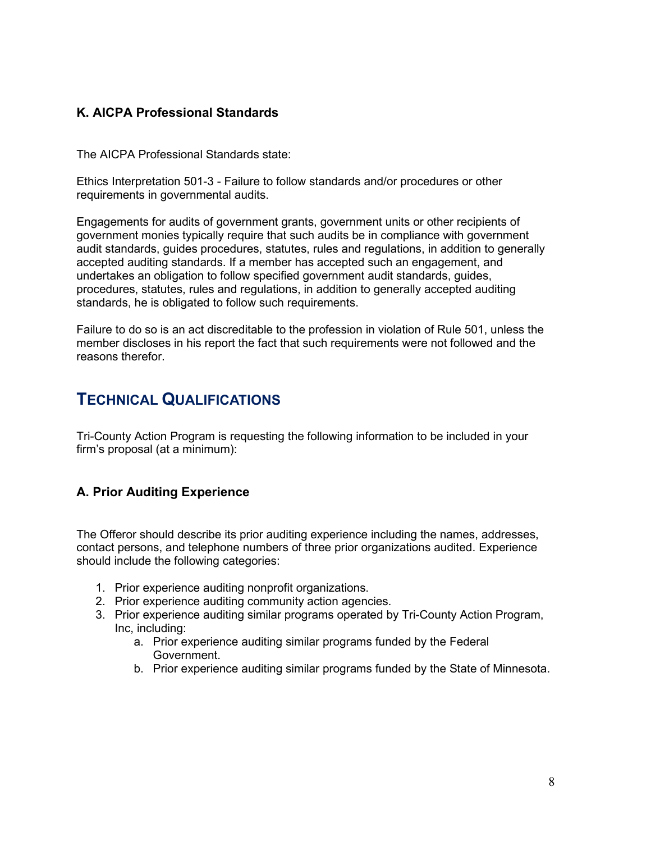### <span id="page-7-0"></span>**K. AICPA Professional Standards**

The AICPA Professional Standards state:

Ethics Interpretation 501-3 - Failure to follow standards and/or procedures or other requirements in governmental audits.

Engagements for audits of government grants, government units or other recipients of government monies typically require that such audits be in compliance with government audit standards, guides procedures, statutes, rules and regulations, in addition to generally accepted auditing standards. If a member has accepted such an engagement, and undertakes an obligation to follow specified government audit standards, guides, procedures, statutes, rules and regulations, in addition to generally accepted auditing standards, he is obligated to follow such requirements.

Failure to do so is an act discreditable to the profession in violation of Rule 501, unless the member discloses in his report the fact that such requirements were not followed and the reasons therefor.

# <span id="page-7-1"></span>**TECHNICAL QUALIFICATIONS**

Tri-County Action Program is requesting the following information to be included in your firm's proposal (at a minimum):

#### <span id="page-7-2"></span>**A. Prior Auditing Experience**

The Offeror should describe its prior auditing experience including the names, addresses, contact persons, and telephone numbers of three prior organizations audited. Experience should include the following categories:

- 1. Prior experience auditing nonprofit organizations.
- 2. Prior experience auditing community action agencies*.*
- 3. Prior experience auditing similar programs operated by Tri-County Action Program, Inc, including:
	- a. Prior experience auditing similar programs funded by the Federal Government.
	- b. Prior experience auditing similar programs funded by the State of Minnesota.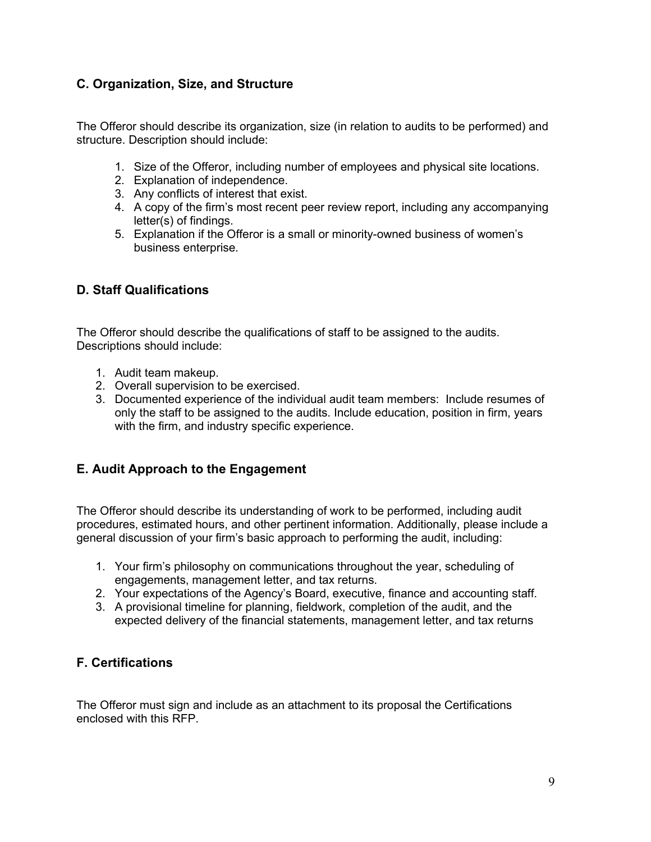# <span id="page-8-0"></span>**C. Organization, Size, and Structure**

The Offeror should describe its organization, size (in relation to audits to be performed) and structure. Description should include:

- 1. Size of the Offeror, including number of employees and physical site locations.
- 2. Explanation of independence.
- 3. Any conflicts of interest that exist.
- 4. A copy of the firm's most recent peer review report, including any accompanying letter(s) of findings.
- 5. Explanation if the Offeror is a small or minority-owned business of women's business enterprise.

# <span id="page-8-1"></span>**D. Staff Qualifications**

The Offeror should describe the qualifications of staff to be assigned to the audits. Descriptions should include:

- 1. Audit team makeup.
- 2. Overall supervision to be exercised.
- 3. Documented experience of the individual audit team members: Include resumes of only the staff to be assigned to the audits. Include education, position in firm, years with the firm, and industry specific experience.

#### <span id="page-8-2"></span>**E. Audit Approach to the Engagement**

The Offeror should describe its understanding of work to be performed, including audit procedures, estimated hours, and other pertinent information. Additionally, please include a general discussion of your firm's basic approach to performing the audit, including:

- 1. Your firm's philosophy on communications throughout the year, scheduling of engagements, management letter, and tax returns.
- 2. Your expectations of the Agency's Board, executive, finance and accounting staff.
- 3. A provisional timeline for planning, fieldwork, completion of the audit, and the expected delivery of the financial statements, management letter, and tax returns

#### <span id="page-8-3"></span>**F. Certifications**

The Offeror must sign and include as an attachment to its proposal the Certifications enclosed with this RFP.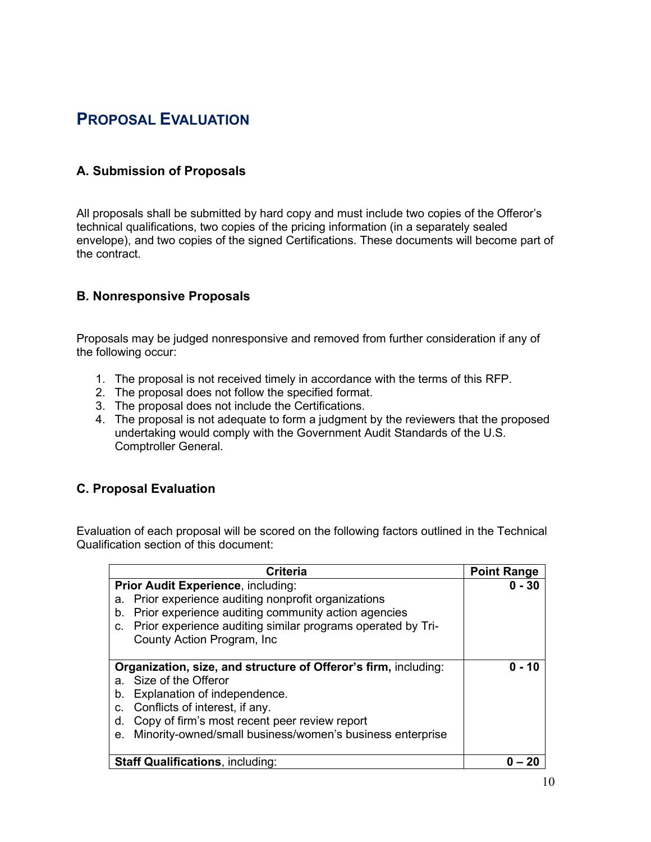# <span id="page-9-0"></span>**PROPOSAL EVALUATION**

# <span id="page-9-1"></span>**A. Submission of Proposals**

All proposals shall be submitted by hard copy and must include two copies of the Offeror's technical qualifications, two copies of the pricing information (in a separately sealed envelope), and two copies of the signed Certifications. These documents will become part of the contract.

#### <span id="page-9-2"></span>**B. Nonresponsive Proposals**

Proposals may be judged nonresponsive and removed from further consideration if any of the following occur:

- 1. The proposal is not received timely in accordance with the terms of this RFP.
- 2. The proposal does not follow the specified format.
- 3. The proposal does not include the Certifications.
- 4. The proposal is not adequate to form a judgment by the reviewers that the proposed undertaking would comply with the Government Audit Standards of the U.S. Comptroller General.

#### <span id="page-9-3"></span>**C. Proposal Evaluation**

Evaluation of each proposal will be scored on the following factors outlined in the Technical Qualification section of this document:

| <b>Criteria</b>                                                   | <b>Point Range</b> |
|-------------------------------------------------------------------|--------------------|
| Prior Audit Experience, including:                                | $0 - 30$           |
| Prior experience auditing nonprofit organizations<br>а.           |                    |
| Prior experience auditing community action agencies<br>b.         |                    |
| Prior experience auditing similar programs operated by Tri-<br>c. |                    |
| County Action Program, Inc.                                       |                    |
|                                                                   |                    |
| Organization, size, and structure of Offeror's firm, including:   | $0 - 10$           |
| Size of the Offeror<br>a.                                         |                    |
| Explanation of independence.<br>b.                                |                    |
| Conflicts of interest, if any.<br>C.                              |                    |
| Copy of firm's most recent peer review report<br>d.               |                    |
| Minority-owned/small business/women's business enterprise<br>е.   |                    |
|                                                                   |                    |
| <b>Staff Qualifications, including:</b>                           |                    |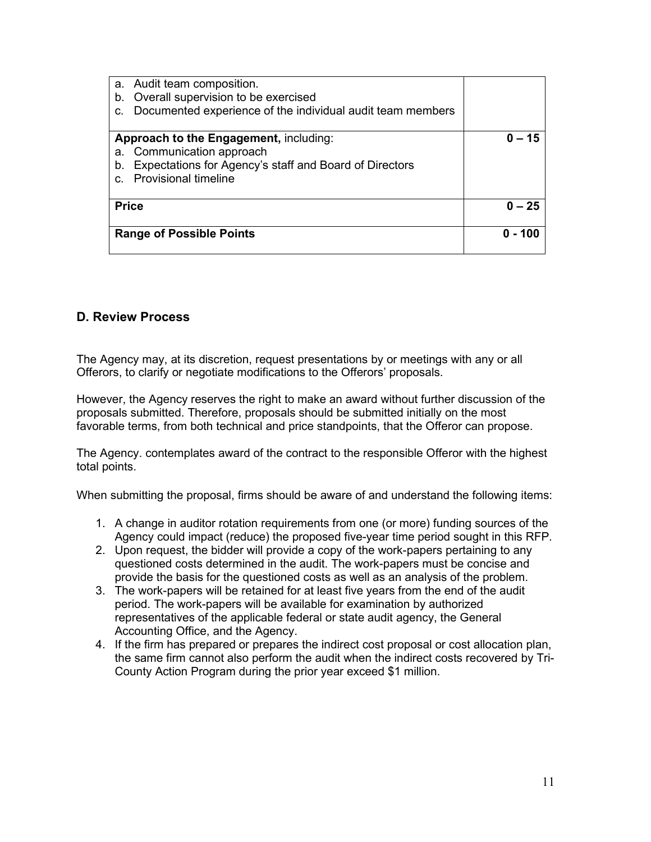| a. Audit team composition.<br>Overall supervision to be exercised<br>b.<br>Documented experience of the individual audit team members<br>c.                        |          |
|--------------------------------------------------------------------------------------------------------------------------------------------------------------------|----------|
| Approach to the Engagement, including:<br>a. Communication approach<br>Expectations for Agency's staff and Board of Directors<br>b.<br><b>Provisional timeline</b> | $0 - 15$ |
| <b>Price</b>                                                                                                                                                       | $0 - 25$ |
| <b>Range of Possible Points</b>                                                                                                                                    | 0 - 100  |

#### <span id="page-10-0"></span>**D. Review Process**

The Agency may, at its discretion, request presentations by or meetings with any or all Offerors, to clarify or negotiate modifications to the Offerors' proposals.

However, the Agency reserves the right to make an award without further discussion of the proposals submitted. Therefore, proposals should be submitted initially on the most favorable terms, from both technical and price standpoints, that the Offeror can propose.

The Agency. contemplates award of the contract to the responsible Offeror with the highest total points.

When submitting the proposal, firms should be aware of and understand the following items:

- 1. A change in auditor rotation requirements from one (or more) funding sources of the Agency could impact (reduce) the proposed five-year time period sought in this RFP.
- 2. Upon request, the bidder will provide a copy of the work-papers pertaining to any questioned costs determined in the audit. The work-papers must be concise and provide the basis for the questioned costs as well as an analysis of the problem.
- 3. The work-papers will be retained for at least five years from the end of the audit period. The work-papers will be available for examination by authorized representatives of the applicable federal or state audit agency, the General Accounting Office, and the Agency.
- 4. If the firm has prepared or prepares the indirect cost proposal or cost allocation plan, the same firm cannot also perform the audit when the indirect costs recovered by Tri-County Action Program during the prior year exceed \$1 million.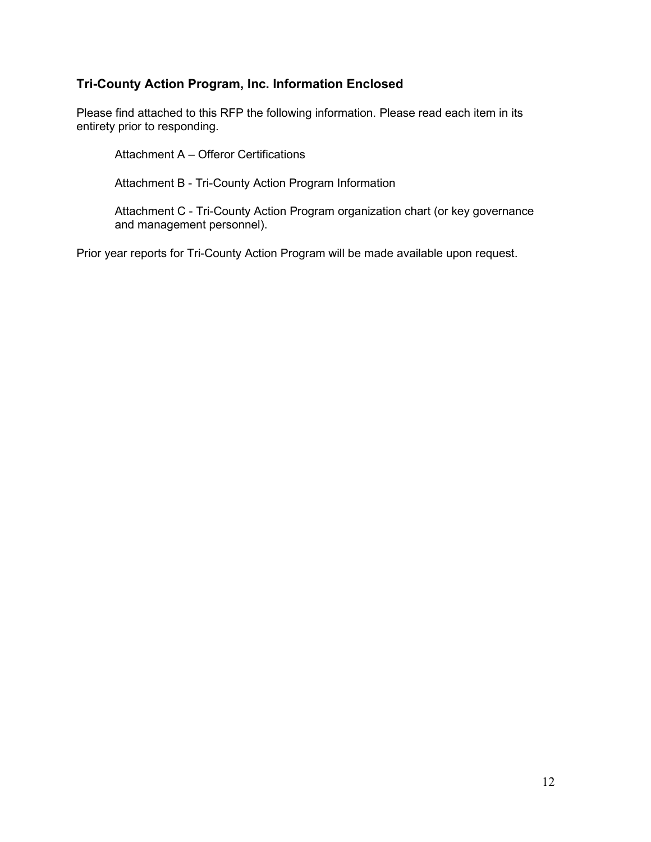# <span id="page-11-0"></span>**Tri-County Action Program, Inc. Information Enclosed**

Please find attached to this RFP the following information. Please read each item in its entirety prior to responding.

Attachment A – Offeror Certifications

Attachment B - Tri-County Action Program Information

Attachment C - Tri-County Action Program organization chart (or key governance and management personnel).

Prior year reports for Tri-County Action Program will be made available upon request.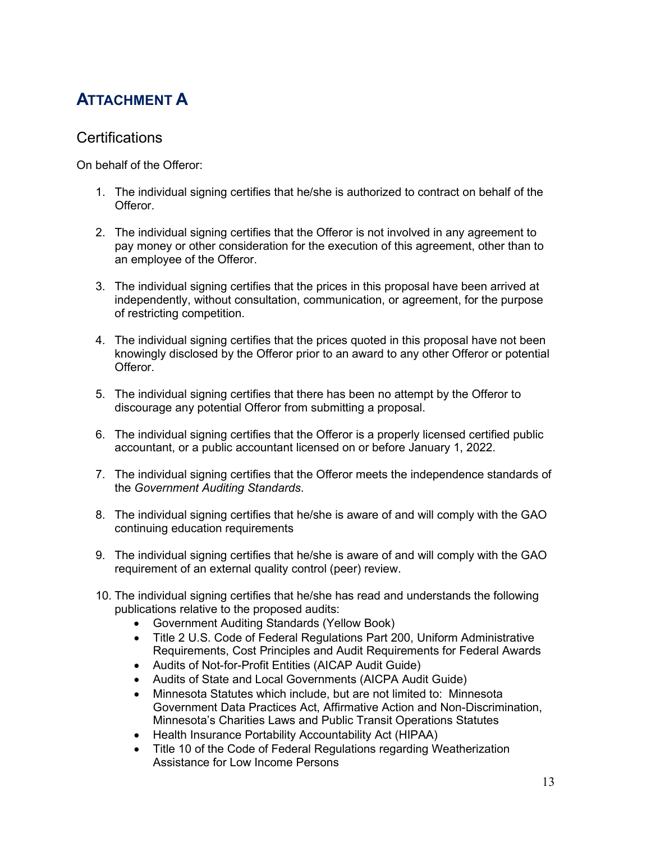# <span id="page-12-0"></span>**ATTACHMENT A**

# **Certifications**

On behalf of the Offeror:

- 1. The individual signing certifies that he/she is authorized to contract on behalf of the Offeror.
- 2. The individual signing certifies that the Offeror is not involved in any agreement to pay money or other consideration for the execution of this agreement, other than to an employee of the Offeror.
- 3. The individual signing certifies that the prices in this proposal have been arrived at independently, without consultation, communication, or agreement, for the purpose of restricting competition.
- 4. The individual signing certifies that the prices quoted in this proposal have not been knowingly disclosed by the Offeror prior to an award to any other Offeror or potential Offeror.
- 5. The individual signing certifies that there has been no attempt by the Offeror to discourage any potential Offeror from submitting a proposal.
- 6. The individual signing certifies that the Offeror is a properly licensed certified public accountant, or a public accountant licensed on or before January 1, 2022.
- 7. The individual signing certifies that the Offeror meets the independence standards of the *Government Auditing Standards*.
- 8. The individual signing certifies that he/she is aware of and will comply with the GAO continuing education requirements
- 9. The individual signing certifies that he/she is aware of and will comply with the GAO requirement of an external quality control (peer) review.
- 10. The individual signing certifies that he/she has read and understands the following publications relative to the proposed audits:
	- Government Auditing Standards (Yellow Book)
	- Title 2 U.S. Code of Federal Regulations Part 200, Uniform Administrative Requirements, Cost Principles and Audit Requirements for Federal Awards
	- Audits of Not-for-Profit Entities (AICAP Audit Guide)
	- Audits of State and Local Governments (AICPA Audit Guide)
	- Minnesota Statutes which include, but are not limited to: Minnesota Government Data Practices Act, Affirmative Action and Non-Discrimination, Minnesota's Charities Laws and Public Transit Operations Statutes
	- Health Insurance Portability Accountability Act (HIPAA)
	- Title 10 of the Code of Federal Regulations regarding Weatherization Assistance for Low Income Persons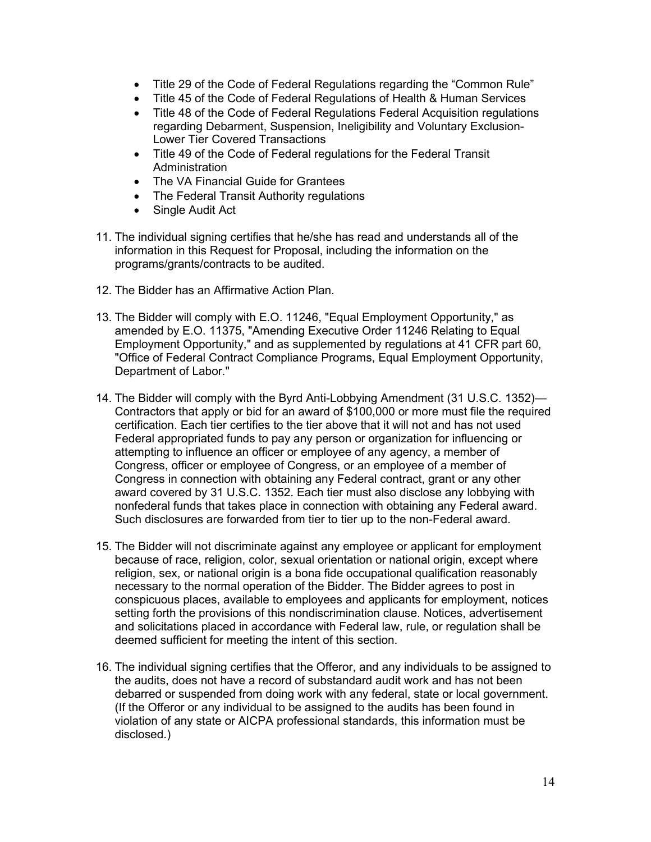- Title 29 of the Code of Federal Regulations regarding the "Common Rule"
- Title 45 of the Code of Federal Regulations of Health & Human Services
- Title 48 of the Code of Federal Regulations Federal Acquisition regulations regarding Debarment, Suspension, Ineligibility and Voluntary Exclusion-Lower Tier Covered Transactions
- Title 49 of the Code of Federal regulations for the Federal Transit Administration
- The VA Financial Guide for Grantees
- The Federal Transit Authority regulations
- Single Audit Act
- 11. The individual signing certifies that he/she has read and understands all of the information in this Request for Proposal, including the information on the programs/grants/contracts to be audited.
- 12. The Bidder has an Affirmative Action Plan.
- 13. The Bidder will comply with E.O. 11246, "Equal Employment Opportunity," as amended by E.O. 11375, "Amending Executive Order 11246 Relating to Equal Employment Opportunity," and as supplemented by regulations at 41 CFR part 60, "Office of Federal Contract Compliance Programs, Equal Employment Opportunity, Department of Labor."
- 14. The Bidder will comply with the Byrd Anti-Lobbying Amendment (31 U.S.C. 1352)— Contractors that apply or bid for an award of \$100,000 or more must file the required certification. Each tier certifies to the tier above that it will not and has not used Federal appropriated funds to pay any person or organization for influencing or attempting to influence an officer or employee of any agency, a member of Congress, officer or employee of Congress, or an employee of a member of Congress in connection with obtaining any Federal contract, grant or any other award covered by 31 U.S.C. 1352. Each tier must also disclose any lobbying with nonfederal funds that takes place in connection with obtaining any Federal award. Such disclosures are forwarded from tier to tier up to the non-Federal award.
- 15. The Bidder will not discriminate against any employee or applicant for employment because of race, religion, color, sexual orientation or national origin, except where religion, sex, or national origin is a bona fide occupational qualification reasonably necessary to the normal operation of the Bidder. The Bidder agrees to post in conspicuous places, available to employees and applicants for employment, notices setting forth the provisions of this nondiscrimination clause. Notices, advertisement and solicitations placed in accordance with Federal law, rule, or regulation shall be deemed sufficient for meeting the intent of this section.
- 16. The individual signing certifies that the Offeror, and any individuals to be assigned to the audits, does not have a record of substandard audit work and has not been debarred or suspended from doing work with any federal, state or local government. (If the Offeror or any individual to be assigned to the audits has been found in violation of any state or AICPA professional standards, this information must be disclosed.)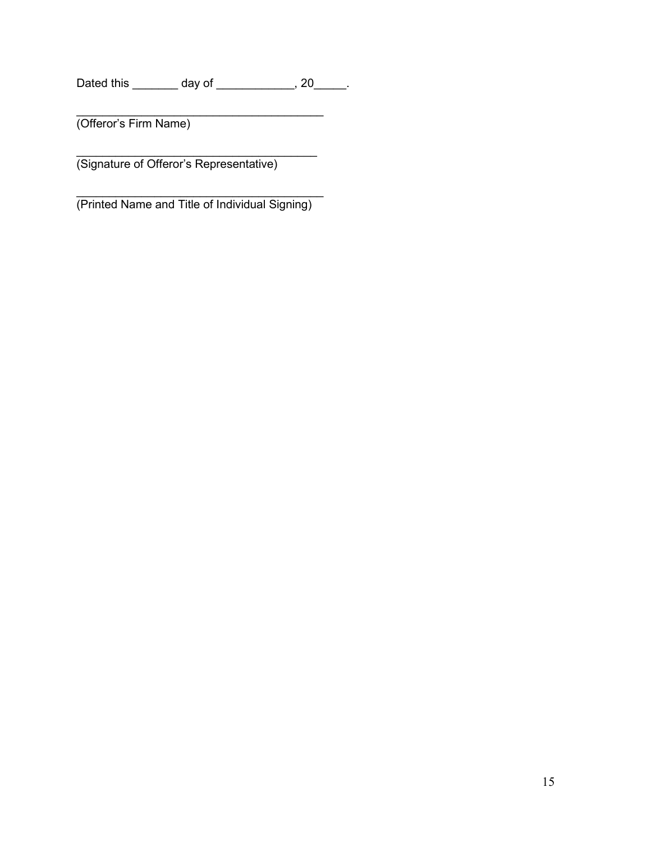Dated this \_\_\_\_\_\_\_ day of \_\_\_\_\_\_\_\_\_\_, 20\_\_\_\_\_.

 $\overline{\phantom{a}}$ 

(Offeror's Firm Name)

\_\_\_\_\_\_\_\_\_\_\_\_\_\_\_\_\_\_\_\_\_\_\_\_\_\_\_\_\_\_\_\_\_\_\_\_\_ (Signature of Offeror's Representative)

 $\overline{\phantom{a}}$  , where the contract of the contract of the contract of the contract of the contract of the contract of the contract of the contract of the contract of the contract of the contract of the contract of the contr (Printed Name and Title of Individual Signing)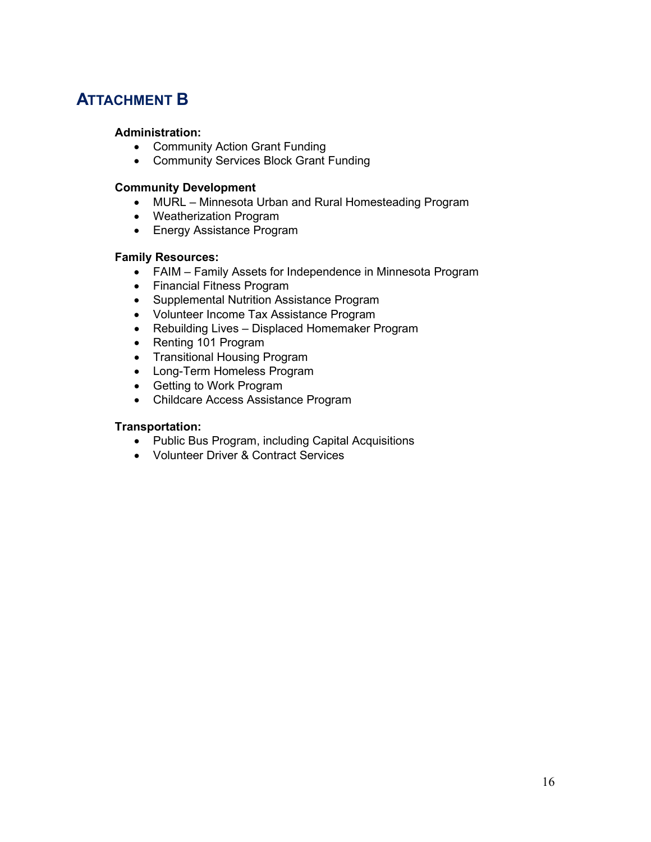# <span id="page-15-0"></span>**ATTACHMENT B**

#### **Administration:**

- Community Action Grant Funding
- Community Services Block Grant Funding

#### **Community Development**

- MURL Minnesota Urban and Rural Homesteading Program
- Weatherization Program
- Energy Assistance Program

#### **Family Resources:**

- FAIM Family Assets for Independence in Minnesota Program
- Financial Fitness Program
- Supplemental Nutrition Assistance Program
- Volunteer Income Tax Assistance Program
- Rebuilding Lives Displaced Homemaker Program
- Renting 101 Program
- Transitional Housing Program
- Long-Term Homeless Program
- Getting to Work Program
- Childcare Access Assistance Program

#### **Transportation:**

- Public Bus Program, including Capital Acquisitions
- Volunteer Driver & Contract Services